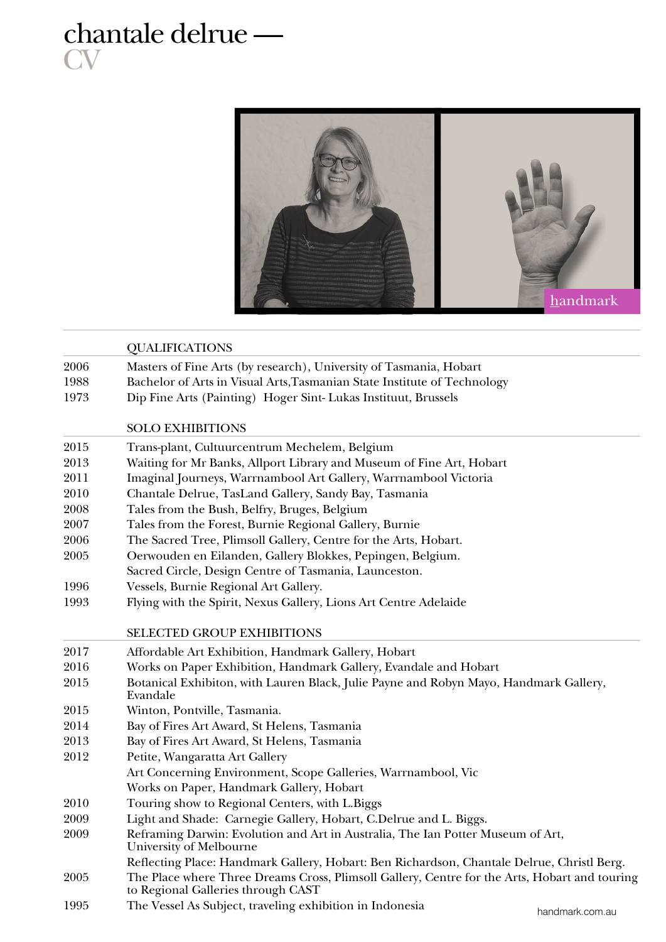## chantale delrue — **CV**



|      | <b>QUALIFICATIONS</b>                                                                                                               |
|------|-------------------------------------------------------------------------------------------------------------------------------------|
| 2006 | Masters of Fine Arts (by research), University of Tasmania, Hobart                                                                  |
| 1988 | Bachelor of Arts in Visual Arts, Tasmanian State Institute of Technology                                                            |
| 1973 | Dip Fine Arts (Painting) Hoger Sint-Lukas Instituut, Brussels                                                                       |
|      | <b>SOLO EXHIBITIONS</b>                                                                                                             |
| 2015 | Trans-plant, Cultuurcentrum Mechelem, Belgium                                                                                       |
| 2013 | Waiting for Mr Banks, Allport Library and Museum of Fine Art, Hobart                                                                |
| 2011 | Imaginal Journeys, Warrnambool Art Gallery, Warrnambool Victoria                                                                    |
| 2010 | Chantale Delrue, TasLand Gallery, Sandy Bay, Tasmania                                                                               |
| 2008 | Tales from the Bush, Belfry, Bruges, Belgium                                                                                        |
| 2007 | Tales from the Forest, Burnie Regional Gallery, Burnie                                                                              |
| 2006 | The Sacred Tree, Plimsoll Gallery, Centre for the Arts, Hobart.                                                                     |
| 2005 | Oerwouden en Eilanden, Gallery Blokkes, Pepingen, Belgium.                                                                          |
|      | Sacred Circle, Design Centre of Tasmania, Launceston.                                                                               |
| 1996 | Vessels, Burnie Regional Art Gallery.                                                                                               |
| 1993 | Flying with the Spirit, Nexus Gallery, Lions Art Centre Adelaide                                                                    |
|      | <b>SELECTED GROUP EXHIBITIONS</b>                                                                                                   |
| 2017 | Affordable Art Exhibition, Handmark Gallery, Hobart                                                                                 |
| 2016 | Works on Paper Exhibition, Handmark Gallery, Evandale and Hobart                                                                    |
| 2015 | Botanical Exhibiton, with Lauren Black, Julie Payne and Robyn Mayo, Handmark Gallery,<br>Evandale                                   |
| 2015 | Winton, Pontville, Tasmania.                                                                                                        |
| 2014 | Bay of Fires Art Award, St Helens, Tasmania                                                                                         |
| 2013 | Bay of Fires Art Award, St Helens, Tasmania                                                                                         |
| 2012 | Petite, Wangaratta Art Gallery                                                                                                      |
|      | Art Concerning Environment, Scope Galleries, Warrnambool, Vic                                                                       |
|      | Works on Paper, Handmark Gallery, Hobart                                                                                            |
| 2010 | Touring show to Regional Centers, with L.Biggs                                                                                      |
| 2009 | Light and Shade: Carnegie Gallery, Hobart, C.Delrue and L. Biggs.                                                                   |
| 2009 | Reframing Darwin: Evolution and Art in Australia, The Ian Potter Museum of Art,<br>University of Melbourne                          |
|      | Reflecting Place: Handmark Gallery, Hobart: Ben Richardson, Chantale Delrue, Christl Berg.                                          |
| 2005 | The Place where Three Dreams Cross, Plimsoll Gallery, Centre for the Arts, Hobart and touring<br>to Regional Galleries through CAST |
| 1995 | The Vessel As Subject, traveling exhibition in Indonesia<br>handmark com au                                                         |